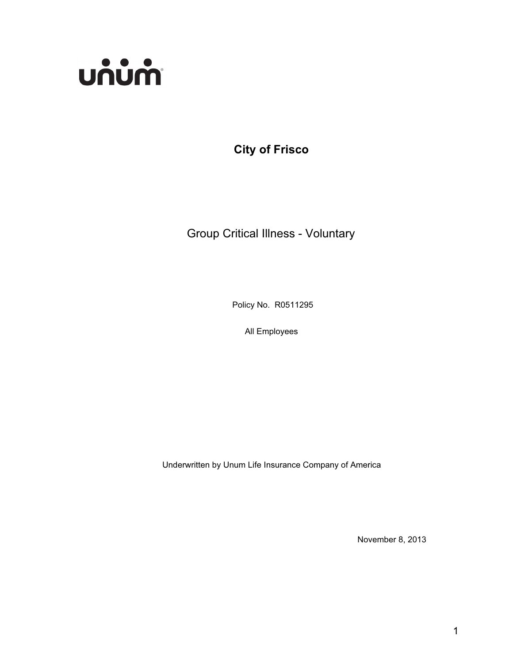

**City of Frisco**

Group Critical Illness - Voluntary

Policy No. R0511295

All Employees

Underwritten by Unum Life Insurance Company of America

November 8, 2013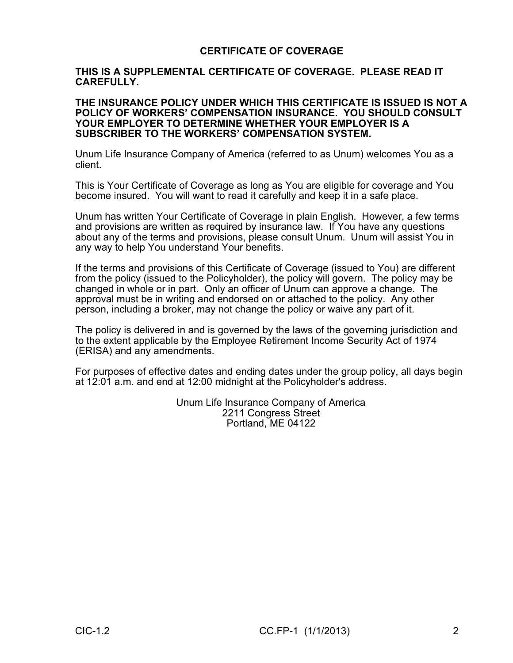## **CERTIFICATE OF COVERAGE**

#### **THIS IS A SUPPLEMENTAL CERTIFICATE OF COVERAGE. PLEASE READ IT CAREFULLY.**

#### **THE INSURANCE POLICY UNDER WHICH THIS CERTIFICATE IS ISSUED IS NOT A POLICY OF WORKERS' COMPENSATION INSURANCE. YOU SHOULD CONSULT YOUR EMPLOYER TO DETERMINE WHETHER YOUR EMPLOYER IS A SUBSCRIBER TO THE WORKERS' COMPENSATION SYSTEM.**

Unum Life Insurance Company of America (referred to as Unum) welcomes You as a client.

This is Your Certificate of Coverage as long as You are eligible for coverage and You become insured. You will want to read it carefully and keep it in a safe place.

Unum has written Your Certificate of Coverage in plain English. However, a few terms and provisions are written as required by insurance law. If You have any questions about any of the terms and provisions, please consult Unum. Unum will assist You in any way to help You understand Your benefits.

If the terms and provisions of this Certificate of Coverage (issued to You) are different from the policy (issued to the Policyholder), the policy will govern. The policy may be changed in whole or in part. Only an officer of Unum can approve a change. The approval must be in writing and endorsed on or attached to the policy. Any other person, including a broker, may not change the policy or waive any part of it.

The policy is delivered in and is governed by the laws of the governing jurisdiction and to the extent applicable by the Employee Retirement Income Security Act of 1974 (ERISA) and any amendments.

For purposes of effective dates and ending dates under the group policy, all days begin at 12:01 a.m. and end at 12:00 midnight at the Policyholder's address.

> Unum Life Insurance Company of America 2211 Congress Street Portland, ME 04122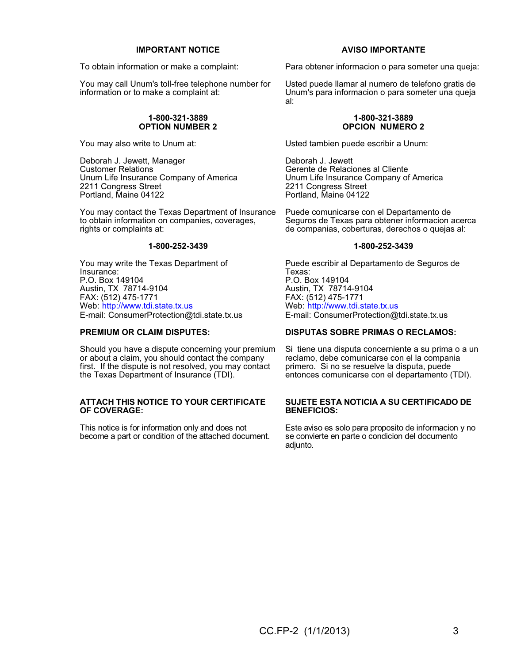#### **IMPORTANT NOTICE**

To obtain information or make a complaint:

You may call Unum's toll-free telephone number for information or to make a complaint at:

#### **1-800-321-3889 OPTION NUMBER 2**

You may also write to Unum at:

Deborah J. Jewett, Manager Customer Relations Unum Life Insurance Company of America 2211 Congress Street Portland, Maine 04122

You may contact the Texas Department of Insurance to obtain information on companies, coverages, rights or complaints at:

#### **1-800-252-3439**

You may write the Texas Department of Insurance: P.O. Box 149104 Austin, TX 78714-9104 FAX: (512) 475-1771 Web: http://www.tdi.state.tx.us E-mail: ConsumerProtection@tdi.state.tx.us

#### **PREMIUM OR CLAIM DISPUTES:**

Should you have a dispute concerning your premium or about a claim, you should contact the company first. If the dispute is not resolved, you may contact the Texas Department of Insurance (TDI).

#### **ATTACH THIS NOTICE TO YOUR CERTIFICATE OF COVERAGE:**

This notice is for information only and does not become a part or condition of the attached document.

#### **AVISO IMPORTANTE**

Para obtener informacion o para someter una queja:

Usted puede llamar al numero de telefono gratis de Unum's para informacion o para someter una queja al:

#### **1-800-321-3889 OPCION NUMERO 2**

Usted tambien puede escribir a Unum:

Deborah J. Jewett Gerente de Relaciones al Cliente Unum Life Insurance Company of America 2211 Congress Street Portland, Maine 04122

Puede comunicarse con el Departamento de Seguros de Texas para obtener informacion acerca de companias, coberturas, derechos o quejas al:

#### **1-800-252-3439**

Puede escribir al Departamento de Seguros de Texas: P.O. Box 149104 Austin, TX 78714-9104 FAX: (512) 475-1771 Web: http://www.tdi.state.tx.us E-mail: ConsumerProtection@tdi.state.tx.us

#### **DISPUTAS SOBRE PRIMAS O RECLAMOS:**

Si tiene una disputa concerniente a su prima o a un reclamo, debe comunicarse con el la compania primero. Si no se resuelve la disputa, puede entonces comunicarse con el departamento (TDI).

#### **SUJETE ESTA NOTICIA A SU CERTIFICADO DE BENEFICIOS:**

Este aviso es solo para proposito de informacion y no se convierte en parte o condicion del documento adjunto.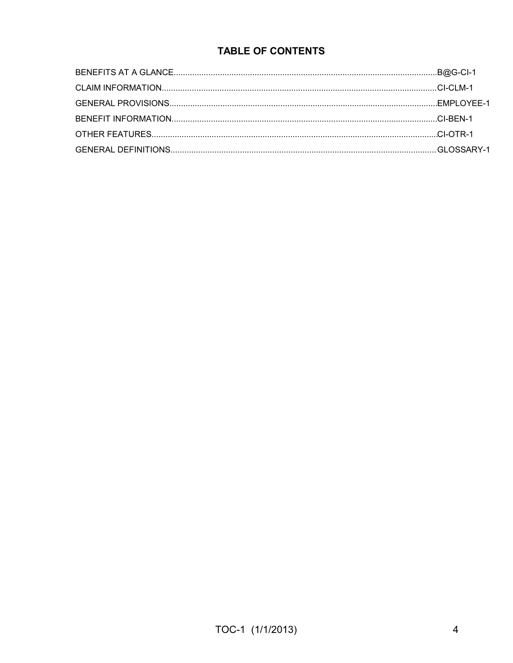# **TABLE OF CONTENTS**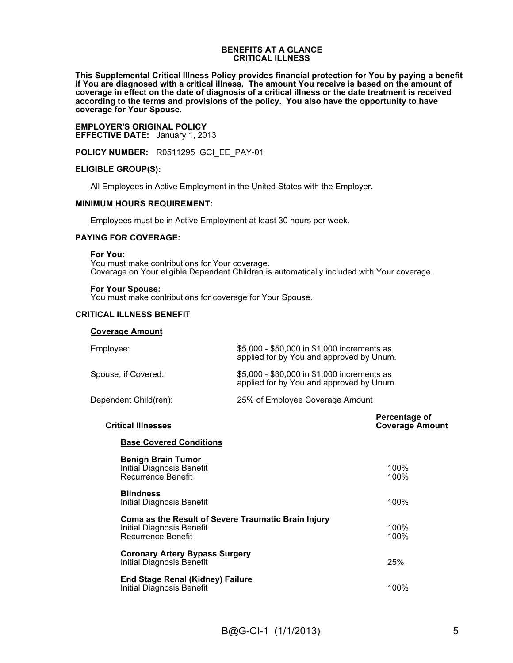#### **BENEFITS AT A GLANCE CRITICAL ILLNESS**

**This Supplemental Critical Illness Policy provides financial protection for You by paying a benefit if You are diagnosed with a critical illness. The amount You receive is based on the amount of coverage in effect on the date of diagnosis of a critical illness or the date treatment is received according to the terms and provisions of the policy. You also have the opportunity to have coverage for Your Spouse.**

**EMPLOYER'S ORIGINAL POLICY EFFECTIVE DATE:** January 1, 2013

**POLICY NUMBER:** R0511295 GCI\_EE\_PAY-01

#### **ELIGIBLE GROUP(S):**

All Employees in Active Employment in the United States with the Employer.

#### **MINIMUM HOURS REQUIREMENT:**

Employees must be in Active Employment at least 30 hours per week.

#### **PAYING FOR COVERAGE:**

**For You:**

You must make contributions for Your coverage. Coverage on Your eligible Dependent Children is automatically included with Your coverage.

#### **For Your Spouse:**

You must make contributions for coverage for Your Spouse.

#### **CRITICAL ILLNESS BENEFIT**

| <b>Coverage Amount</b> |                                                                                         |
|------------------------|-----------------------------------------------------------------------------------------|
| Employee:              | \$5,000 - \$50,000 in \$1,000 increments as<br>applied for by You and approved by Unum. |
| Spouse, if Covered:    | \$5,000 - \$30,000 in \$1,000 increments as<br>applied for by You and approved by Unum. |

Dependent Child(ren): 25% of Employee Coverage Amount

**Percentage of Critical Illnesses Coverage Amount**

#### **Base Covered Conditions**

| <b>Benign Brain Tumor</b><br>Initial Diagnosis Benefit<br>Recurrence Benefit                           | 100%<br>100% |
|--------------------------------------------------------------------------------------------------------|--------------|
| <b>Blindness</b><br>Initial Diagnosis Benefit                                                          | 100%         |
| Coma as the Result of Severe Traumatic Brain Injury<br>Initial Diagnosis Benefit<br>Recurrence Benefit | 100%<br>100% |
| <b>Coronary Artery Bypass Surgery</b><br>Initial Diagnosis Benefit                                     | 25%          |
| <b>End Stage Renal (Kidney) Failure</b><br>Initial Diagnosis Benefit                                   | 100%         |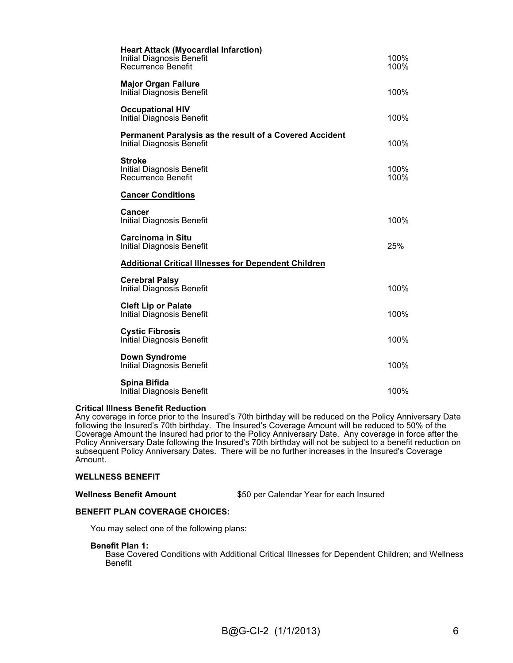| <b>Heart Attack (Myocardial Infarction)</b><br>Initial Diagnosis Benefit<br><b>Recurrence Benefit</b> | 100%<br>100% |
|-------------------------------------------------------------------------------------------------------|--------------|
| <b>Major Organ Failure</b><br><b>Initial Diagnosis Benefit</b>                                        | 100%         |
| <b>Occupational HIV</b><br><b>Initial Diagnosis Benefit</b>                                           | 100%         |
| Permanent Paralysis as the result of a Covered Accident<br>Initial Diagnosis Benefit                  | 100%         |
| <b>Stroke</b><br><b>Initial Diagnosis Benefit</b><br><b>Recurrence Benefit</b>                        | 100%<br>100% |
| <b>Cancer Conditions</b>                                                                              |              |
| Cancer<br><b>Initial Diagnosis Benefit</b>                                                            | 100%         |
| <b>Carcinoma in Situ</b><br>Initial Diagnosis Benefit                                                 | 25%          |
| <b>Additional Critical Illnesses for Dependent Children</b>                                           |              |
| <b>Cerebral Palsy</b><br>Initial Diagnosis Benefit                                                    | 100%         |
| <b>Cleft Lip or Palate</b><br><b>Initial Diagnosis Benefit</b>                                        | 100%         |
| <b>Cystic Fibrosis</b><br>Initial Diagnosis Benefit                                                   | 100%         |
| <b>Down Syndrome</b><br>Initial Diagnosis Benefit                                                     | 100%         |
| Spina Bifida<br>Initial Diagnosis Benefit                                                             | 100%         |

#### **Critical Illness Benefit Reduction**

Any coverage in force prior to the Insured's 70th birthday will be reduced on the Policy Anniversary Date following the Insured's 70th birthday. The Insured's Coverage Amount will be reduced to 50% of the Coverage Amount the Insured had prior to the Policy Anniversary Date. Any coverage in force after the Policy Anniversary Date following the Insured's 70th birthday will not be subject to a benefit reduction on subsequent Policy Anniversary Dates. There will be no further increases in the Insured's Coverage Amount.

#### **WELLNESS BENEFIT**

\$50 per Calendar Year for each Insured

#### **BENEFIT PLAN COVERAGE CHOICES:**

You may select one of the following plans:

#### **Benefit Plan 1:**

Base Covered Conditions with Additional Critical Illnesses for Dependent Children; and Wellness Benefit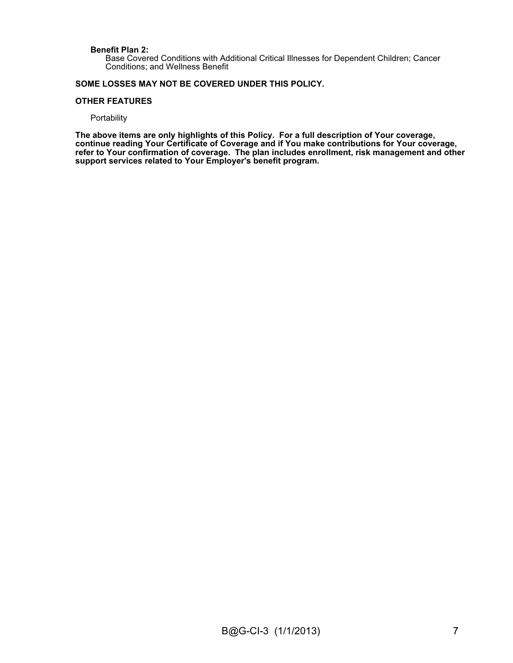#### **Benefit Plan 2:**

Base Covered Conditions with Additional Critical Illnesses for Dependent Children; Cancer Conditions; and Wellness Benefit

#### **SOME LOSSES MAY NOT BE COVERED UNDER THIS POLICY.**

#### **OTHER FEATURES**

#### **Portability**

**The above items are only highlights of this Policy. For a full description of Your coverage, continue reading Your Certificate of Coverage and if You make contributions for Your coverage, refer to Your confirmation of coverage. The plan includes enrollment, risk management and other support services related to Your Employer's benefit program.**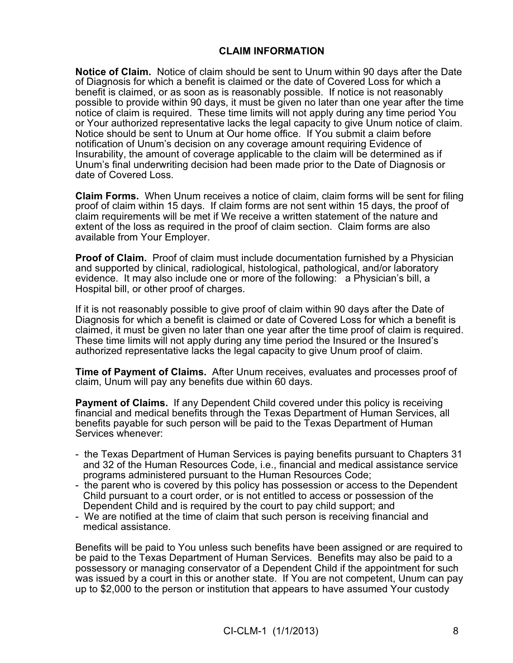## **CLAIM INFORMATION**

**Notice of Claim.** Notice of claim should be sent to Unum within 90 days after the Date of Diagnosis for which a benefit is claimed or the date of Covered Loss for which a benefit is claimed, or as soon as is reasonably possible. If notice is not reasonably possible to provide within 90 days, it must be given no later than one year after the time notice of claim is required. These time limits will not apply during any time period You or Your authorized representative lacks the legal capacity to give Unum notice of claim. Notice should be sent to Unum at Our home office. If You submit a claim before notification of Unum's decision on any coverage amount requiring Evidence of Insurability, the amount of coverage applicable to the claim will be determined as if Unum's final underwriting decision had been made prior to the Date of Diagnosis or date of Covered Loss.

**Claim Forms.** When Unum receives a notice of claim, claim forms will be sent for filing proof of claim within 15 days. If claim forms are not sent within 15 days, the proof of claim requirements will be met if We receive a written statement of the nature and extent of the loss as required in the proof of claim section. Claim forms are also available from Your Employer.

**Proof of Claim.** Proof of claim must include documentation furnished by a Physician and supported by clinical, radiological, histological, pathological, and/or laboratory evidence. It may also include one or more of the following: a Physician's bill, a Hospital bill, or other proof of charges.

If it is not reasonably possible to give proof of claim within 90 days after the Date of Diagnosis for which a benefit is claimed or date of Covered Loss for which a benefit is claimed, it must be given no later than one year after the time proof of claim is required. These time limits will not apply during any time period the Insured or the Insured's authorized representative lacks the legal capacity to give Unum proof of claim.

**Time of Payment of Claims.** After Unum receives, evaluates and processes proof of claim, Unum will pay any benefits due within 60 days.

**Payment of Claims.** If any Dependent Child covered under this policy is receiving financial and medical benefits through the Texas Department of Human Services, all benefits payable for such person will be paid to the Texas Department of Human Services whenever:

- the Texas Department of Human Services is paying benefits pursuant to Chapters 31 and 32 of the Human Resources Code, i.e., financial and medical assistance service programs administered pursuant to the Human Resources Code;
- the parent who is covered by this policy has possession or access to the Dependent Child pursuant to a court order, or is not entitled to access or possession of the Dependent Child and is required by the court to pay child support; and
- We are notified at the time of claim that such person is receiving financial and medical assistance.

Benefits will be paid to You unless such benefits have been assigned or are required to be paid to the Texas Department of Human Services. Benefits may also be paid to a possessory or managing conservator of a Dependent Child if the appointment for such was issued by a court in this or another state. If You are not competent, Unum can pay up to \$2,000 to the person or institution that appears to have assumed Your custody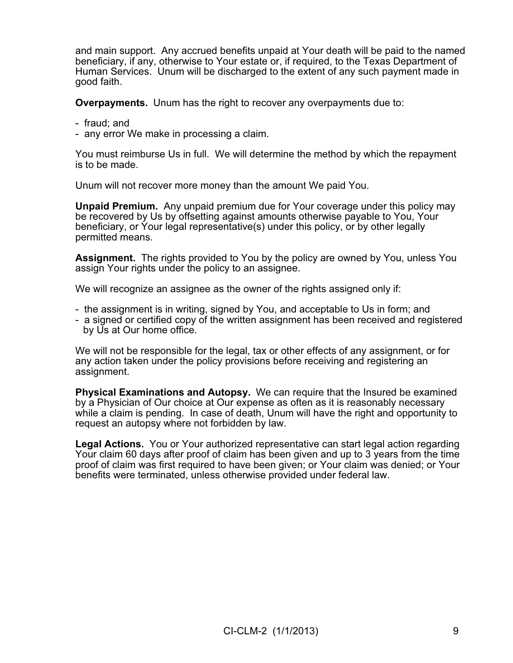and main support. Any accrued benefits unpaid at Your death will be paid to the named beneficiary, if any, otherwise to Your estate or, if required, to the Texas Department of Human Services. Unum will be discharged to the extent of any such payment made in good faith.

**Overpayments.** Unum has the right to recover any overpayments due to:

- fraud; and
- any error We make in processing a claim.

You must reimburse Us in full. We will determine the method by which the repayment is to be made.

Unum will not recover more money than the amount We paid You.

**Unpaid Premium.** Any unpaid premium due for Your coverage under this policy may be recovered by Us by offsetting against amounts otherwise payable to You, Your beneficiary, or Your legal representative(s) under this policy, or by other legally permitted means.

**Assignment.** The rights provided to You by the policy are owned by You, unless You assign Your rights under the policy to an assignee.

We will recognize an assignee as the owner of the rights assigned only if:

- the assignment is in writing, signed by You, and acceptable to Us in form; and
- a signed or certified copy of the written assignment has been received and registered by Us at Our home office.

We will not be responsible for the legal, tax or other effects of any assignment, or for any action taken under the policy provisions before receiving and registering an assignment.

**Physical Examinations and Autopsy.** We can require that the Insured be examined by a Physician of Our choice at Our expense as often as it is reasonably necessary while a claim is pending. In case of death, Unum will have the right and opportunity to request an autopsy where not forbidden by law.

**Legal Actions.** You or Your authorized representative can start legal action regarding Your claim 60 days after proof of claim has been given and up to 3 years from the time proof of claim was first required to have been given; or Your claim was denied; or Your benefits were terminated, unless otherwise provided under federal law.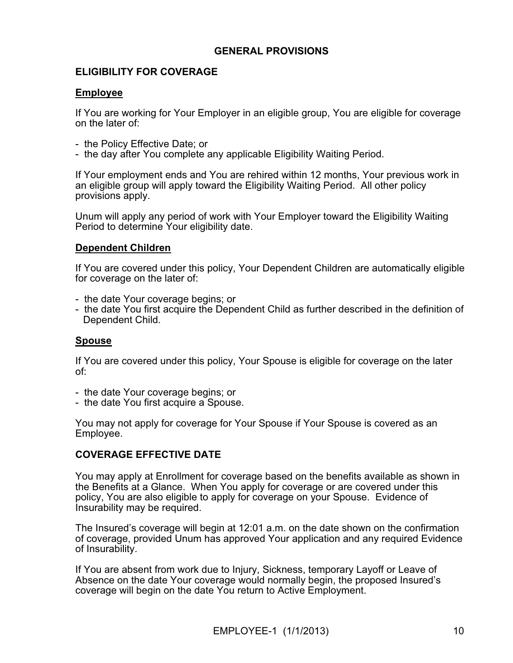## **GENERAL PROVISIONS**

## **ELIGIBILITY FOR COVERAGE**

### **Employee**

If You are working for Your Employer in an eligible group, You are eligible for coverage on the later of:

- the Policy Effective Date; or
- the day after You complete any applicable Eligibility Waiting Period.

If Your employment ends and You are rehired within 12 months, Your previous work in an eligible group will apply toward the Eligibility Waiting Period. All other policy provisions apply.

Unum will apply any period of work with Your Employer toward the Eligibility Waiting Period to determine Your eligibility date.

## **Dependent Children**

If You are covered under this policy, Your Dependent Children are automatically eligible for coverage on the later of:

- the date Your coverage begins; or
- the date You first acquire the Dependent Child as further described in the definition of Dependent Child.

## **Spouse**

If You are covered under this policy, Your Spouse is eligible for coverage on the later of:

- the date Your coverage begins; or
- the date You first acquire a Spouse.

You may not apply for coverage for Your Spouse if Your Spouse is covered as an Employee.

# **COVERAGE EFFECTIVE DATE**

You may apply at Enrollment for coverage based on the benefits available as shown in the Benefits at a Glance. When You apply for coverage or are covered under this policy, You are also eligible to apply for coverage on your Spouse. Evidence of Insurability may be required.

The Insured's coverage will begin at 12:01 a.m. on the date shown on the confirmation of coverage, provided Unum has approved Your application and any required Evidence of Insurability.

If You are absent from work due to Injury, Sickness, temporary Layoff or Leave of Absence on the date Your coverage would normally begin, the proposed Insured's coverage will begin on the date You return to Active Employment.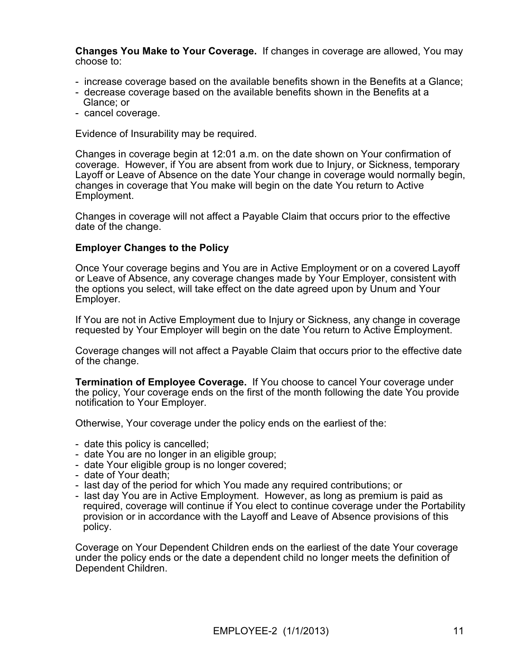**Changes You Make to Your Coverage.** If changes in coverage are allowed, You may choose to:

- increase coverage based on the available benefits shown in the Benefits at a Glance;
- decrease coverage based on the available benefits shown in the Benefits at a Glance; or
- cancel coverage.

Evidence of Insurability may be required.

Changes in coverage begin at 12:01 a.m. on the date shown on Your confirmation of coverage. However, if You are absent from work due to Injury, or Sickness, temporary Layoff or Leave of Absence on the date Your change in coverage would normally begin, changes in coverage that You make will begin on the date You return to Active Employment.

Changes in coverage will not affect a Payable Claim that occurs prior to the effective date of the change.

### **Employer Changes to the Policy**

Once Your coverage begins and You are in Active Employment or on a covered Layoff or Leave of Absence, any coverage changes made by Your Employer, consistent with the options you select, will take effect on the date agreed upon by Unum and Your Employer.

If You are not in Active Employment due to Injury or Sickness, any change in coverage requested by Your Employer will begin on the date You return to Active Employment.

Coverage changes will not affect a Payable Claim that occurs prior to the effective date of the change.

**Termination of Employee Coverage.** If You choose to cancel Your coverage under the policy, Your coverage ends on the first of the month following the date You provide notification to Your Employer.

Otherwise, Your coverage under the policy ends on the earliest of the:

- date this policy is cancelled;
- date You are no longer in an eligible group;
- date Your eligible group is no longer covered;
- date of Your death;
- last day of the period for which You made any required contributions; or
- last day You are in Active Employment. However, as long as premium is paid as required, coverage will continue if You elect to continue coverage under the Portability provision or in accordance with the Layoff and Leave of Absence provisions of this policy.

Coverage on Your Dependent Children ends on the earliest of the date Your coverage under the policy ends or the date a dependent child no longer meets the definition of Dependent Children.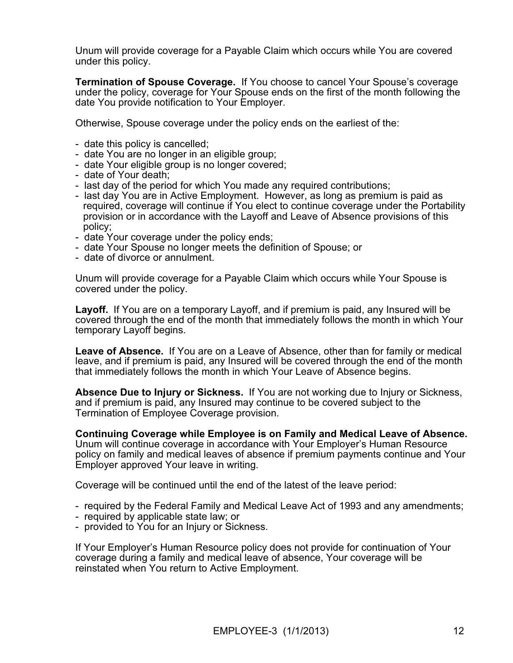Unum will provide coverage for a Payable Claim which occurs while You are covered under this policy.

**Termination of Spouse Coverage.** If You choose to cancel Your Spouse's coverage under the policy, coverage for Your Spouse ends on the first of the month following the date You provide notification to Your Employer.

Otherwise, Spouse coverage under the policy ends on the earliest of the:

- date this policy is cancelled;
- date You are no longer in an eligible group;
- date Your eligible group is no longer covered;
- date of Your death;
- last day of the period for which You made any required contributions;
- last day You are in Active Employment. However, as long as premium is paid as required, coverage will continue if You elect to continue coverage under the Portability provision or in accordance with the Layoff and Leave of Absence provisions of this policy;
- date Your coverage under the policy ends;
- date Your Spouse no longer meets the definition of Spouse; or
- date of divorce or annulment.

Unum will provide coverage for a Payable Claim which occurs while Your Spouse is covered under the policy.

**Layoff.** If You are on a temporary Layoff, and if premium is paid, any Insured will be covered through the end of the month that immediately follows the month in which Your temporary Layoff begins.

**Leave of Absence.** If You are on a Leave of Absence, other than for family or medical leave, and if premium is paid, any Insured will be covered through the end of the month that immediately follows the month in which Your Leave of Absence begins.

**Absence Due to Injury or Sickness.** If You are not working due to Injury or Sickness, and if premium is paid, any Insured may continue to be covered subject to the Termination of Employee Coverage provision.

**Continuing Coverage while Employee is on Family and Medical Leave of Absence.** Unum will continue coverage in accordance with Your Employer's Human Resource policy on family and medical leaves of absence if premium payments continue and Your Employer approved Your leave in writing.

Coverage will be continued until the end of the latest of the leave period:

- required by the Federal Family and Medical Leave Act of 1993 and any amendments;
- required by applicable state law; or
- provided to You for an Injury or Sickness.

If Your Employer's Human Resource policy does not provide for continuation of Your coverage during a family and medical leave of absence, Your coverage will be reinstated when You return to Active Employment.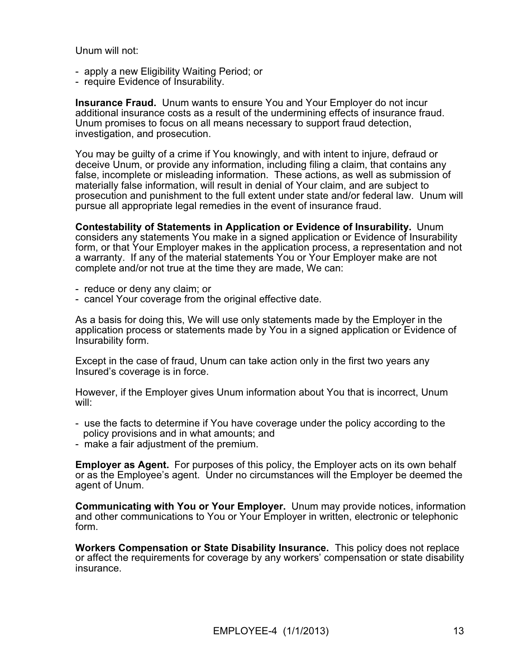Unum will not:

- apply a new Eligibility Waiting Period; or
- require Evidence of Insurability.

**Insurance Fraud.** Unum wants to ensure You and Your Employer do not incur additional insurance costs as a result of the undermining effects of insurance fraud. Unum promises to focus on all means necessary to support fraud detection, investigation, and prosecution.

You may be guilty of a crime if You knowingly, and with intent to injure, defraud or deceive Unum, or provide any information, including filing a claim, that contains any false, incomplete or misleading information. These actions, as well as submission of materially false information, will result in denial of Your claim, and are subject to prosecution and punishment to the full extent under state and/or federal law. Unum will pursue all appropriate legal remedies in the event of insurance fraud.

**Contestability of Statements in Application or Evidence of Insurability.** Unum considers any statements You make in a signed application or Evidence of Insurability form, or that Your Employer makes in the application process, a representation and not a warranty. If any of the material statements You or Your Employer make are not complete and/or not true at the time they are made, We can:

- reduce or deny any claim; or
- cancel Your coverage from the original effective date.

As a basis for doing this, We will use only statements made by the Employer in the application process or statements made by You in a signed application or Evidence of Insurability form.

Except in the case of fraud, Unum can take action only in the first two years any Insured's coverage is in force.

However, if the Employer gives Unum information about You that is incorrect, Unum will:

- use the facts to determine if You have coverage under the policy according to the policy provisions and in what amounts; and
- make a fair adjustment of the premium.

**Employer as Agent.** For purposes of this policy, the Employer acts on its own behalf or as the Employee's agent. Under no circumstances will the Employer be deemed the agent of Unum.

**Communicating with You or Your Employer.** Unum may provide notices, information and other communications to You or Your Employer in written, electronic or telephonic form.

**Workers Compensation or State Disability Insurance.** This policy does not replace or affect the requirements for coverage by any workers' compensation or state disability insurance.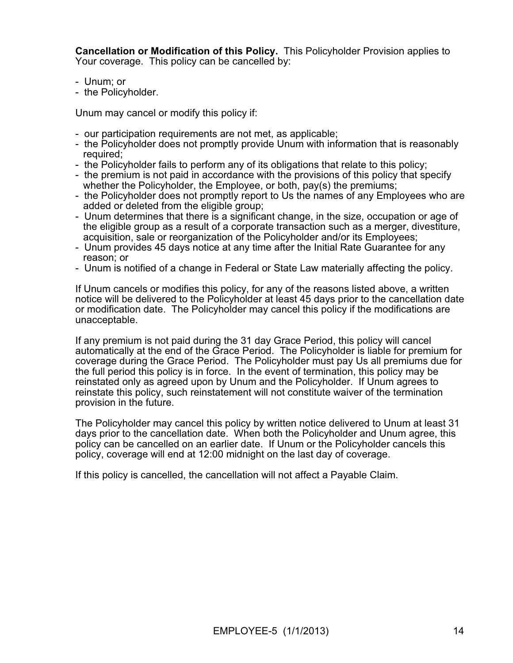**Cancellation or Modification of this Policy.** This Policyholder Provision applies to Your coverage. This policy can be cancelled by:

- Unum; or
- the Policyholder.

Unum may cancel or modify this policy if:

- our participation requirements are not met, as applicable;
- the Policyholder does not promptly provide Unum with information that is reasonably required;
- the Policyholder fails to perform any of its obligations that relate to this policy;
- the premium is not paid in accordance with the provisions of this policy that specify whether the Policyholder, the Employee, or both, pay(s) the premiums;
- the Policyholder does not promptly report to Us the names of any Employees who are added or deleted from the eligible group;
- Unum determines that there is a significant change, in the size, occupation or age of the eligible group as a result of a corporate transaction such as a merger, divestiture, acquisition, sale or reorganization of the Policyholder and/or its Employees;
- Unum provides 45 days notice at any time after the Initial Rate Guarantee for any reason; or
- Unum is notified of a change in Federal or State Law materially affecting the policy.

If Unum cancels or modifies this policy, for any of the reasons listed above, a written notice will be delivered to the Policyholder at least 45 days prior to the cancellation date or modification date. The Policyholder may cancel this policy if the modifications are unacceptable.

If any premium is not paid during the 31 day Grace Period, this policy will cancel automatically at the end of the Grace Period. The Policyholder is liable for premium for coverage during the Grace Period. The Policyholder must pay Us all premiums due for the full period this policy is in force. In the event of termination, this policy may be reinstated only as agreed upon by Unum and the Policyholder. If Unum agrees to reinstate this policy, such reinstatement will not constitute waiver of the termination provision in the future.

The Policyholder may cancel this policy by written notice delivered to Unum at least 31 days prior to the cancellation date. When both the Policyholder and Unum agree, this policy can be cancelled on an earlier date. If Unum or the Policyholder cancels this policy, coverage will end at 12:00 midnight on the last day of coverage.

If this policy is cancelled, the cancellation will not affect a Payable Claim.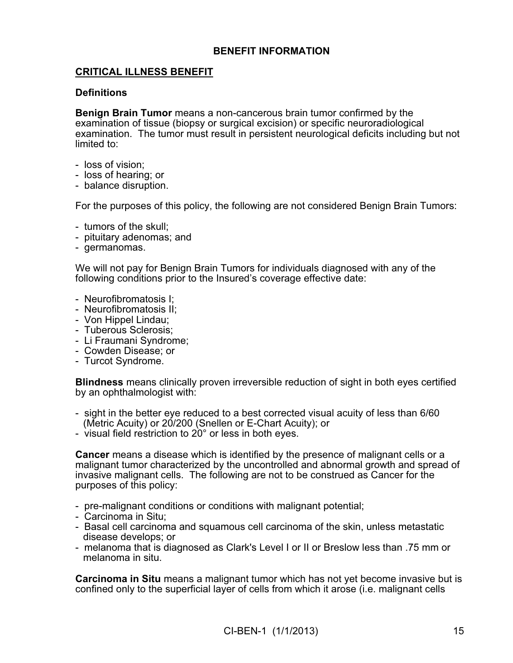## **BENEFIT INFORMATION**

## **CRITICAL ILLNESS BENEFIT**

### **Definitions**

**Benign Brain Tumor** means a non-cancerous brain tumor confirmed by the examination of tissue (biopsy or surgical excision) or specific neuroradiological examination. The tumor must result in persistent neurological deficits including but not limited to:

- loss of vision;
- loss of hearing; or
- balance disruption.

For the purposes of this policy, the following are not considered Benign Brain Tumors:

- tumors of the skull;
- pituitary adenomas; and
- germanomas.

We will not pay for Benign Brain Tumors for individuals diagnosed with any of the following conditions prior to the Insured's coverage effective date:

- Neurofibromatosis I;
- Neurofibromatosis II;
- Von Hippel Lindau;
- Tuberous Sclerosis;
- Li Fraumani Syndrome;
- Cowden Disease; or
- Turcot Syndrome.

**Blindness** means clinically proven irreversible reduction of sight in both eyes certified by an ophthalmologist with:

- sight in the better eye reduced to a best corrected visual acuity of less than 6/60 (Metric Acuity) or 20/200 (Snellen or E-Chart Acuity); or
- visual field restriction to 20° or less in both eyes.

**Cancer** means a disease which is identified by the presence of malignant cells or a malignant tumor characterized by the uncontrolled and abnormal growth and spread of invasive malignant cells. The following are not to be construed as Cancer for the purposes of this policy:

- pre-malignant conditions or conditions with malignant potential;
- Carcinoma in Situ;
- Basal cell carcinoma and squamous cell carcinoma of the skin, unless metastatic disease develops; or
- melanoma that is diagnosed as Clark's Level I or II or Breslow less than .75 mm or melanoma in situ.

**Carcinoma in Situ** means a malignant tumor which has not yet become invasive but is confined only to the superficial layer of cells from which it arose (i.e. malignant cells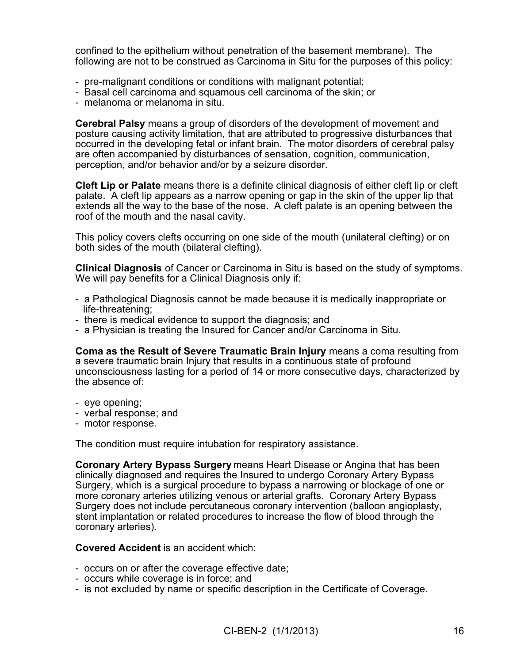confined to the epithelium without penetration of the basement membrane). The following are not to be construed as Carcinoma in Situ for the purposes of this policy:

- pre-malignant conditions or conditions with malignant potential;
- Basal cell carcinoma and squamous cell carcinoma of the skin; or
- melanoma or melanoma in situ.

**Cerebral Palsy** means a group of disorders of the development of movement and posture causing activity limitation, that are attributed to progressive disturbances that occurred in the developing fetal or infant brain. The motor disorders of cerebral palsy are often accompanied by disturbances of sensation, cognition, communication, perception, and/or behavior and/or by a seizure disorder.

**Cleft Lip or Palate** means there is a definite clinical diagnosis of either cleft lip or cleft palate. A cleft lip appears as a narrow opening or gap in the skin of the upper lip that extends all the way to the base of the nose. A cleft palate is an opening between the roof of the mouth and the nasal cavity.

This policy covers clefts occurring on one side of the mouth (unilateral clefting) or on both sides of the mouth (bilateral clefting).

**Clinical Diagnosis** of Cancer or Carcinoma in Situ is based on the study of symptoms. We will pay benefits for a Clinical Diagnosis only if:

- a Pathological Diagnosis cannot be made because it is medically inappropriate or life-threatening;
- there is medical evidence to support the diagnosis; and
- a Physician is treating the Insured for Cancer and/or Carcinoma in Situ.

**Coma as the Result of Severe Traumatic Brain Injury** means a coma resulting from a severe traumatic brain Injury that results in a continuous state of profound unconsciousness lasting for a period of 14 or more consecutive days, characterized by the absence of:

- eye opening;
- verbal response; and
- motor response.

The condition must require intubation for respiratory assistance.

**Coronary Artery Bypass Surgery** means Heart Disease or Angina that has been clinically diagnosed and requires the Insured to undergo Coronary Artery Bypass Surgery, which is a surgical procedure to bypass a narrowing or blockage of one or more coronary arteries utilizing venous or arterial grafts. Coronary Artery Bypass Surgery does not include percutaneous coronary intervention (balloon angioplasty, stent implantation or related procedures to increase the flow of blood through the coronary arteries).

### **Covered Accident** is an accident which:

- occurs on or after the coverage effective date;
- occurs while coverage is in force; and
- is not excluded by name or specific description in the Certificate of Coverage.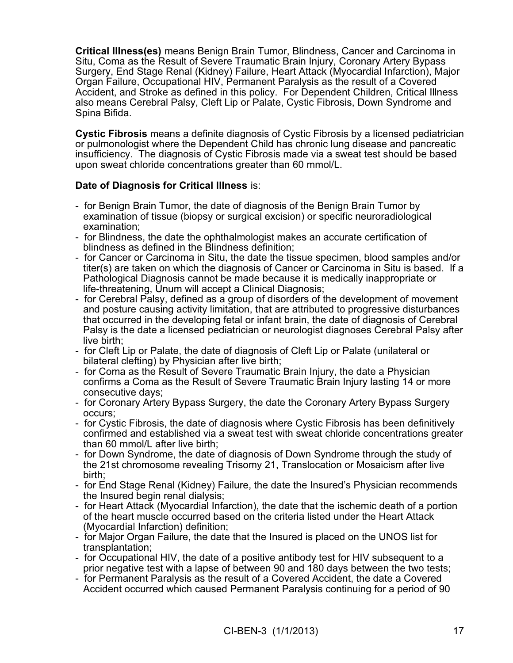**Critical Illness(es)** means Benign Brain Tumor, Blindness, Cancer and Carcinoma in Situ, Coma as the Result of Severe Traumatic Brain Injury, Coronary Artery Bypass Surgery, End Stage Renal (Kidney) Failure, Heart Attack (Myocardial Infarction), Major Organ Failure, Occupational HIV, Permanent Paralysis as the result of a Covered Accident, and Stroke as defined in this policy. For Dependent Children, Critical Illness also means Cerebral Palsy, Cleft Lip or Palate, Cystic Fibrosis, Down Syndrome and Spina Bifida.

**Cystic Fibrosis** means a definite diagnosis of Cystic Fibrosis by a licensed pediatrician or pulmonologist where the Dependent Child has chronic lung disease and pancreatic insufficiency. The diagnosis of Cystic Fibrosis made via a sweat test should be based upon sweat chloride concentrations greater than 60 mmol/L.

# **Date of Diagnosis for Critical Illness** is:

- for Benign Brain Tumor, the date of diagnosis of the Benign Brain Tumor by examination of tissue (biopsy or surgical excision) or specific neuroradiological examination;
- for Blindness, the date the ophthalmologist makes an accurate certification of blindness as defined in the Blindness definition;
- for Cancer or Carcinoma in Situ, the date the tissue specimen, blood samples and/or titer(s) are taken on which the diagnosis of Cancer or Carcinoma in Situ is based. If a Pathological Diagnosis cannot be made because it is medically inappropriate or life-threatening, Unum will accept a Clinical Diagnosis;
- for Cerebral Palsy, defined as a group of disorders of the development of movement and posture causing activity limitation, that are attributed to progressive disturbances that occurred in the developing fetal or infant brain, the date of diagnosis of Cerebral Palsy is the date a licensed pediatrician or neurologist diagnoses Cerebral Palsy after live birth;
- for Cleft Lip or Palate, the date of diagnosis of Cleft Lip or Palate (unilateral or bilateral clefting) by Physician after live birth;
- for Coma as the Result of Severe Traumatic Brain Injury, the date a Physician confirms a Coma as the Result of Severe Traumatic Brain Injury lasting 14 or more consecutive days;
- for Coronary Artery Bypass Surgery, the date the Coronary Artery Bypass Surgery occurs;
- for Cystic Fibrosis, the date of diagnosis where Cystic Fibrosis has been definitively confirmed and established via a sweat test with sweat chloride concentrations greater than 60 mmol/L after live birth;
- for Down Syndrome, the date of diagnosis of Down Syndrome through the study of the 21st chromosome revealing Trisomy 21, Translocation or Mosaicism after live birth;
- for End Stage Renal (Kidney) Failure, the date the Insured's Physician recommends the Insured begin renal dialysis;
- for Heart Attack (Myocardial Infarction), the date that the ischemic death of a portion of the heart muscle occurred based on the criteria listed under the Heart Attack (Myocardial Infarction) definition;
- for Major Organ Failure, the date that the Insured is placed on the UNOS list for transplantation;
- for Occupational HIV, the date of a positive antibody test for HIV subsequent to a prior negative test with a lapse of between 90 and 180 days between the two tests;
- for Permanent Paralysis as the result of a Covered Accident, the date a Covered Accident occurred which caused Permanent Paralysis continuing for a period of 90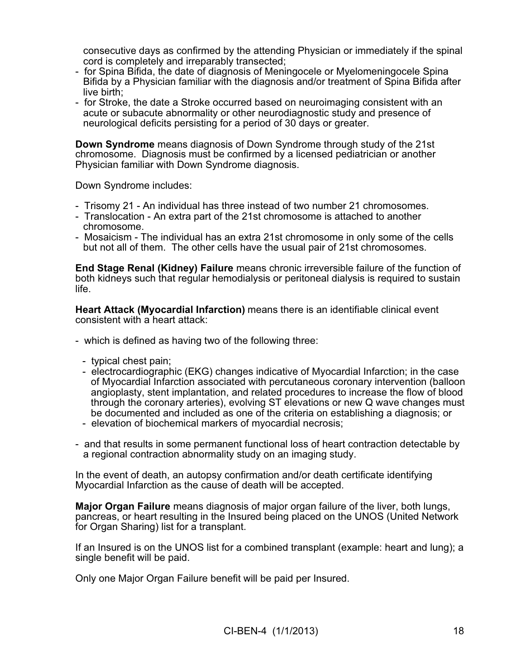consecutive days as confirmed by the attending Physician or immediately if the spinal cord is completely and irreparably transected;

- for Spina Bifida, the date of diagnosis of Meningocele or Myelomeningocele Spina Bifida by a Physician familiar with the diagnosis and/or treatment of Spina Bifida after live birth;
- for Stroke, the date a Stroke occurred based on neuroimaging consistent with an acute or subacute abnormality or other neurodiagnostic study and presence of neurological deficits persisting for a period of 30 days or greater.

**Down Syndrome** means diagnosis of Down Syndrome through study of the 21st chromosome. Diagnosis must be confirmed by a licensed pediatrician or another Physician familiar with Down Syndrome diagnosis.

Down Syndrome includes:

- Trisomy 21 An individual has three instead of two number 21 chromosomes.
- Translocation An extra part of the 21st chromosome is attached to another chromosome.
- Mosaicism The individual has an extra 21st chromosome in only some of the cells but not all of them. The other cells have the usual pair of 21st chromosomes.

**End Stage Renal (Kidney) Failure** means chronic irreversible failure of the function of both kidneys such that regular hemodialysis or peritoneal dialysis is required to sustain life.

**Heart Attack (Myocardial Infarction)** means there is an identifiable clinical event consistent with a heart attack:

- which is defined as having two of the following three:
	- typical chest pain;
	- electrocardiographic (EKG) changes indicative of Myocardial Infarction; in the case of Myocardial Infarction associated with percutaneous coronary intervention (balloon angioplasty, stent implantation, and related procedures to increase the flow of blood through the coronary arteries), evolving ST elevations or new Q wave changes must be documented and included as one of the criteria on establishing a diagnosis; or
	- elevation of biochemical markers of myocardial necrosis;
- and that results in some permanent functional loss of heart contraction detectable by a regional contraction abnormality study on an imaging study.

In the event of death, an autopsy confirmation and/or death certificate identifying Myocardial Infarction as the cause of death will be accepted.

**Major Organ Failure** means diagnosis of major organ failure of the liver, both lungs, pancreas, or heart resulting in the Insured being placed on the UNOS (United Network for Organ Sharing) list for a transplant.

If an Insured is on the UNOS list for a combined transplant (example: heart and lung); a single benefit will be paid.

Only one Major Organ Failure benefit will be paid per Insured.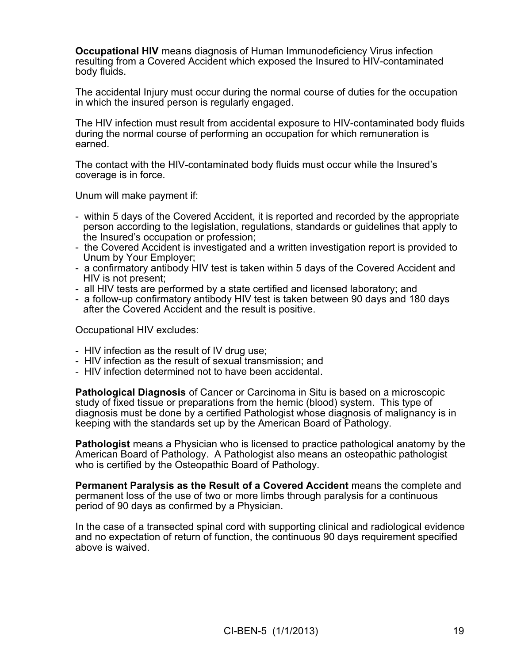**Occupational HIV** means diagnosis of Human Immunodeficiency Virus infection resulting from a Covered Accident which exposed the Insured to HIV-contaminated body fluids.

The accidental Injury must occur during the normal course of duties for the occupation in which the insured person is regularly engaged.

The HIV infection must result from accidental exposure to HIV-contaminated body fluids during the normal course of performing an occupation for which remuneration is earned.

The contact with the HIV-contaminated body fluids must occur while the Insured's coverage is in force.

Unum will make payment if:

- within 5 days of the Covered Accident, it is reported and recorded by the appropriate person according to the legislation, regulations, standards or guidelines that apply to the Insured's occupation or profession;
- the Covered Accident is investigated and a written investigation report is provided to Unum by Your Employer;
- a confirmatory antibody HIV test is taken within 5 days of the Covered Accident and HIV is not present;
- all HIV tests are performed by a state certified and licensed laboratory; and
- a follow-up confirmatory antibody HIV test is taken between 90 days and 180 days after the Covered Accident and the result is positive.

Occupational HIV excludes:

- HIV infection as the result of IV drug use;
- HIV infection as the result of sexual transmission; and
- HIV infection determined not to have been accidental.

**Pathological Diagnosis** of Cancer or Carcinoma in Situ is based on a microscopic study of fixed tissue or preparations from the hemic (blood) system. This type of diagnosis must be done by a certified Pathologist whose diagnosis of malignancy is in keeping with the standards set up by the American Board of Pathology.

**Pathologist** means a Physician who is licensed to practice pathological anatomy by the American Board of Pathology. A Pathologist also means an osteopathic pathologist who is certified by the Osteopathic Board of Pathology.

**Permanent Paralysis as the Result of a Covered Accident** means the complete and permanent loss of the use of two or more limbs through paralysis for a continuous period of 90 days as confirmed by a Physician.

In the case of a transected spinal cord with supporting clinical and radiological evidence and no expectation of return of function, the continuous 90 days requirement specified above is waived.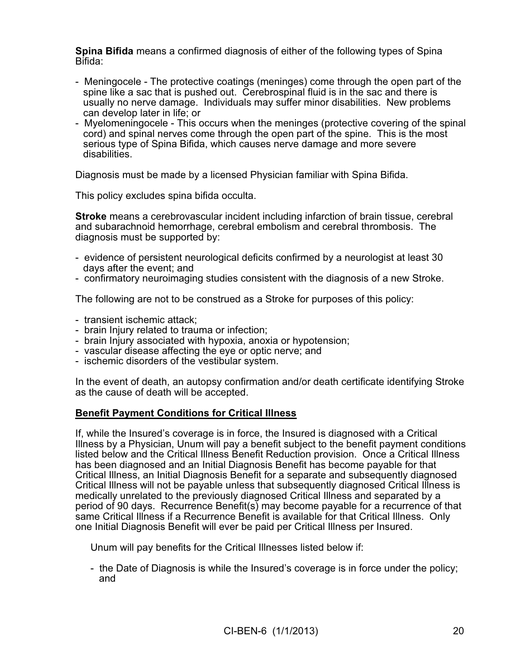**Spina Bifida** means a confirmed diagnosis of either of the following types of Spina Bifida:

- Meningocele The protective coatings (meninges) come through the open part of the spine like a sac that is pushed out. Cerebrospinal fluid is in the sac and there is usually no nerve damage. Individuals may suffer minor disabilities. New problems can develop later in life; or
- Myelomeningocele This occurs when the meninges (protective covering of the spinal cord) and spinal nerves come through the open part of the spine. This is the most serious type of Spina Bifida, which causes nerve damage and more severe disabilities.

Diagnosis must be made by a licensed Physician familiar with Spina Bifida.

This policy excludes spina bifida occulta.

**Stroke** means a cerebrovascular incident including infarction of brain tissue, cerebral and subarachnoid hemorrhage, cerebral embolism and cerebral thrombosis. The diagnosis must be supported by:

- evidence of persistent neurological deficits confirmed by a neurologist at least 30 days after the event; and
- confirmatory neuroimaging studies consistent with the diagnosis of a new Stroke.

The following are not to be construed as a Stroke for purposes of this policy:

- transient ischemic attack;
- brain Injury related to trauma or infection;
- brain Injury associated with hypoxia, anoxia or hypotension;
- vascular disease affecting the eye or optic nerve; and
- ischemic disorders of the vestibular system.

In the event of death, an autopsy confirmation and/or death certificate identifying Stroke as the cause of death will be accepted.

#### **Benefit Payment Conditions for Critical Illness**

If, while the Insured's coverage is in force, the Insured is diagnosed with a Critical Illness by a Physician, Unum will pay a benefit subject to the benefit payment conditions listed below and the Critical Illness Benefit Reduction provision. Once a Critical Illness has been diagnosed and an Initial Diagnosis Benefit has become payable for that Critical Illness, an Initial Diagnosis Benefit for a separate and subsequently diagnosed Critical Illness will not be payable unless that subsequently diagnosed Critical Illness is medically unrelated to the previously diagnosed Critical Illness and separated by a period of 90 days. Recurrence Benefit(s) may become payable for a recurrence of that same Critical Illness if a Recurrence Benefit is available for that Critical Illness. Only one Initial Diagnosis Benefit will ever be paid per Critical Illness per Insured.

Unum will pay benefits for the Critical Illnesses listed below if:

- the Date of Diagnosis is while the Insured's coverage is in force under the policy; and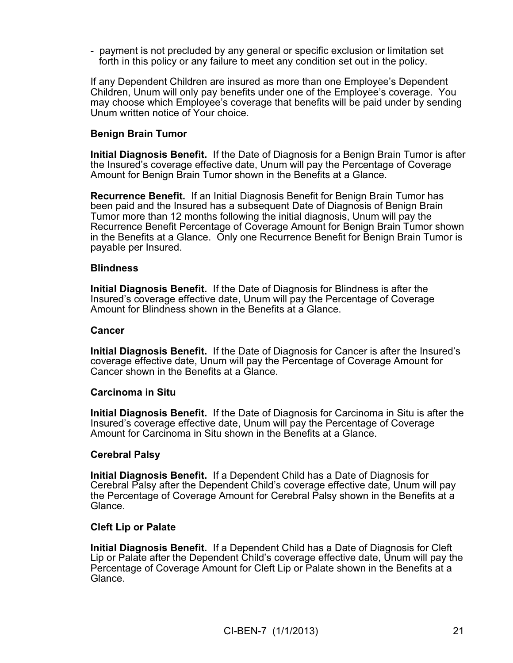- payment is not precluded by any general or specific exclusion or limitation set forth in this policy or any failure to meet any condition set out in the policy.

If any Dependent Children are insured as more than one Employee's Dependent Children, Unum will only pay benefits under one of the Employee's coverage. You may choose which Employee's coverage that benefits will be paid under by sending Unum written notice of Your choice.

### **Benign Brain Tumor**

**Initial Diagnosis Benefit.** If the Date of Diagnosis for a Benign Brain Tumor is after the Insured's coverage effective date, Unum will pay the Percentage of Coverage Amount for Benign Brain Tumor shown in the Benefits at a Glance.

**Recurrence Benefit.** If an Initial Diagnosis Benefit for Benign Brain Tumor has been paid and the Insured has a subsequent Date of Diagnosis of Benign Brain Tumor more than 12 months following the initial diagnosis, Unum will pay the Recurrence Benefit Percentage of Coverage Amount for Benign Brain Tumor shown in the Benefits at a Glance. Only one Recurrence Benefit for Benign Brain Tumor is payable per Insured.

#### **Blindness**

**Initial Diagnosis Benefit.** If the Date of Diagnosis for Blindness is after the Insured's coverage effective date, Unum will pay the Percentage of Coverage Amount for Blindness shown in the Benefits at a Glance.

### **Cancer**

**Initial Diagnosis Benefit.** If the Date of Diagnosis for Cancer is after the Insured's coverage effective date, Unum will pay the Percentage of Coverage Amount for Cancer shown in the Benefits at a Glance.

#### **Carcinoma in Situ**

**Initial Diagnosis Benefit.** If the Date of Diagnosis for Carcinoma in Situ is after the Insured's coverage effective date, Unum will pay the Percentage of Coverage Amount for Carcinoma in Situ shown in the Benefits at a Glance.

#### **Cerebral Palsy**

**Initial Diagnosis Benefit.** If a Dependent Child has a Date of Diagnosis for Cerebral Palsy after the Dependent Child's coverage effective date, Unum will pay the Percentage of Coverage Amount for Cerebral Palsy shown in the Benefits at a Glance.

#### **Cleft Lip or Palate**

**Initial Diagnosis Benefit.** If a Dependent Child has a Date of Diagnosis for Cleft Lip or Palate after the Dependent Child's coverage effective date, Unum will pay the Percentage of Coverage Amount for Cleft Lip or Palate shown in the Benefits at a Glance.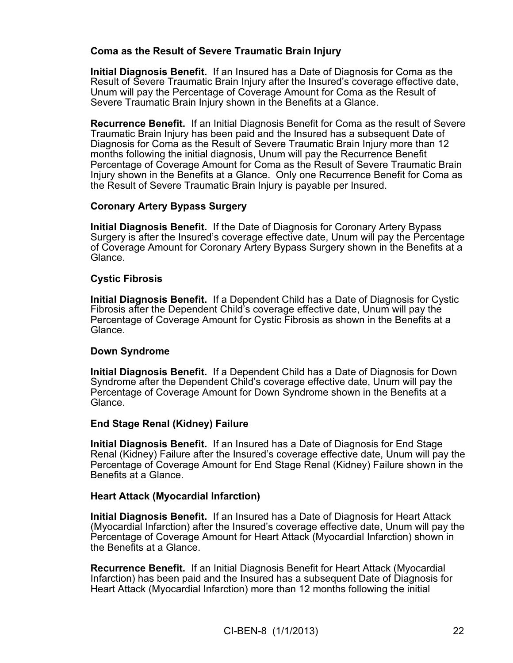## **Coma as the Result of Severe Traumatic Brain Injury**

**Initial Diagnosis Benefit.** If an Insured has a Date of Diagnosis for Coma as the Result of Severe Traumatic Brain Injury after the Insured's coverage effective date, Unum will pay the Percentage of Coverage Amount for Coma as the Result of Severe Traumatic Brain Injury shown in the Benefits at a Glance.

**Recurrence Benefit.** If an Initial Diagnosis Benefit for Coma as the result of Severe Traumatic Brain Injury has been paid and the Insured has a subsequent Date of Diagnosis for Coma as the Result of Severe Traumatic Brain Injury more than 12 months following the initial diagnosis, Unum will pay the Recurrence Benefit Percentage of Coverage Amount for Coma as the Result of Severe Traumatic Brain Injury shown in the Benefits at a Glance. Only one Recurrence Benefit for Coma as the Result of Severe Traumatic Brain Injury is payable per Insured.

## **Coronary Artery Bypass Surgery**

**Initial Diagnosis Benefit.** If the Date of Diagnosis for Coronary Artery Bypass Surgery is after the Insured's coverage effective date, Unum will pay the Percentage of Coverage Amount for Coronary Artery Bypass Surgery shown in the Benefits at a Glance.

### **Cystic Fibrosis**

**Initial Diagnosis Benefit.** If a Dependent Child has a Date of Diagnosis for Cystic Fibrosis after the Dependent Child's coverage effective date, Unum will pay the Percentage of Coverage Amount for Cystic Fibrosis as shown in the Benefits at a Glance.

## **Down Syndrome**

**Initial Diagnosis Benefit.** If a Dependent Child has a Date of Diagnosis for Down Syndrome after the Dependent Child's coverage effective date, Unum will pay the Percentage of Coverage Amount for Down Syndrome shown in the Benefits at a Glance.

## **End Stage Renal (Kidney) Failure**

**Initial Diagnosis Benefit.** If an Insured has a Date of Diagnosis for End Stage Renal (Kidney) Failure after the Insured's coverage effective date, Unum will pay the Percentage of Coverage Amount for End Stage Renal (Kidney) Failure shown in the Benefits at a Glance.

### **Heart Attack (Myocardial Infarction)**

**Initial Diagnosis Benefit.** If an Insured has a Date of Diagnosis for Heart Attack (Myocardial Infarction) after the Insured's coverage effective date, Unum will pay the Percentage of Coverage Amount for Heart Attack (Myocardial Infarction) shown in the Benefits at a Glance.

**Recurrence Benefit.** If an Initial Diagnosis Benefit for Heart Attack (Myocardial Infarction) has been paid and the Insured has a subsequent Date of Diagnosis for Heart Attack (Myocardial Infarction) more than 12 months following the initial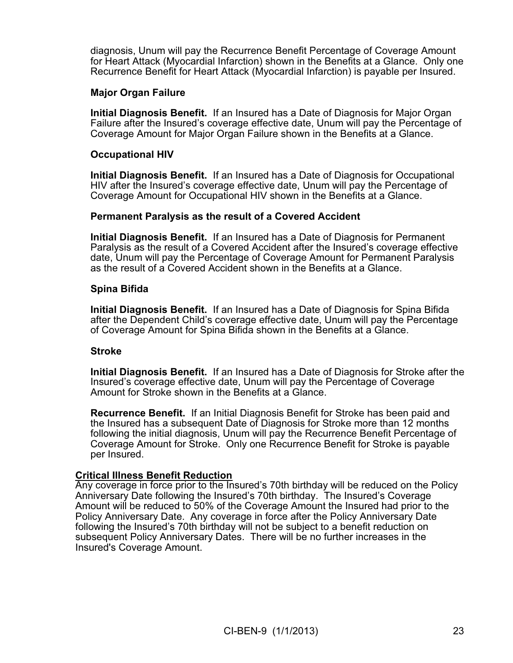diagnosis, Unum will pay the Recurrence Benefit Percentage of Coverage Amount for Heart Attack (Myocardial Infarction) shown in the Benefits at a Glance. Only one Recurrence Benefit for Heart Attack (Myocardial Infarction) is payable per Insured.

### **Major Organ Failure**

**Initial Diagnosis Benefit.** If an Insured has a Date of Diagnosis for Major Organ Failure after the Insured's coverage effective date, Unum will pay the Percentage of Coverage Amount for Major Organ Failure shown in the Benefits at a Glance.

#### **Occupational HIV**

**Initial Diagnosis Benefit.** If an Insured has a Date of Diagnosis for Occupational HIV after the Insured's coverage effective date, Unum will pay the Percentage of Coverage Amount for Occupational HIV shown in the Benefits at a Glance.

#### **Permanent Paralysis as the result of a Covered Accident**

**Initial Diagnosis Benefit.** If an Insured has a Date of Diagnosis for Permanent Paralysis as the result of a Covered Accident after the Insured's coverage effective date, Unum will pay the Percentage of Coverage Amount for Permanent Paralysis as the result of a Covered Accident shown in the Benefits at a Glance.

#### **Spina Bifida**

**Initial Diagnosis Benefit.** If an Insured has a Date of Diagnosis for Spina Bifida after the Dependent Child's coverage effective date, Unum will pay the Percentage of Coverage Amount for Spina Bifida shown in the Benefits at a Glance.

#### **Stroke**

**Initial Diagnosis Benefit.** If an Insured has a Date of Diagnosis for Stroke after the Insured's coverage effective date, Unum will pay the Percentage of Coverage Amount for Stroke shown in the Benefits at a Glance.

**Recurrence Benefit.** If an Initial Diagnosis Benefit for Stroke has been paid and the Insured has a subsequent Date of Diagnosis for Stroke more than 12 months following the initial diagnosis, Unum will pay the Recurrence Benefit Percentage of Coverage Amount for Stroke. Only one Recurrence Benefit for Stroke is payable per Insured.

#### **Critical Illness Benefit Reduction**

Any coverage in force prior to the Insured's 70th birthday will be reduced on the Policy Anniversary Date following the Insured's 70th birthday. The Insured's Coverage Amount will be reduced to 50% of the Coverage Amount the Insured had prior to the Policy Anniversary Date. Any coverage in force after the Policy Anniversary Date following the Insured's 70th birthday will not be subject to a benefit reduction on subsequent Policy Anniversary Dates. There will be no further increases in the Insured's Coverage Amount.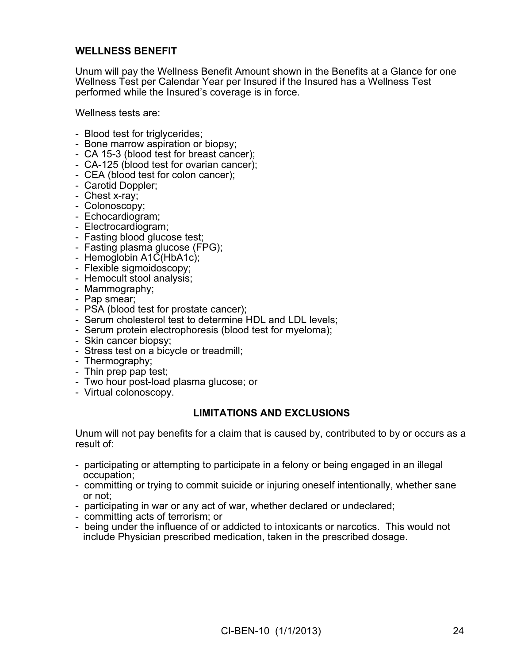## **WELLNESS BENEFIT**

Unum will pay the Wellness Benefit Amount shown in the Benefits at a Glance for one Wellness Test per Calendar Year per Insured if the Insured has a Wellness Test performed while the Insured's coverage is in force.

Wellness tests are:

- Blood test for triglycerides;
- Bone marrow aspiration or biopsy;
- CA 15-3 (blood test for breast cancer);
- CA-125 (blood test for ovarian cancer);
- CEA (blood test for colon cancer);
- Carotid Doppler;
- Chest x-ray;
- Colonoscopy;
- Echocardiogram;
- Electrocardiogram;
- Fasting blood glucose test;
- Fasting plasma glucose (FPG);
- Hemoglobin A1C(HbA1c);
- Flexible sigmoidoscopy;
- Hemocult stool analysis;
- Mammography;
- Pap smear;
- PSA (blood test for prostate cancer);
- Serum cholesterol test to determine HDL and LDL levels;
- Serum protein electrophoresis (blood test for myeloma);
- Skin cancer biopsy;
- Stress test on a bicycle or treadmill;
- Thermography;
- Thin prep pap test;
- Two hour post-load plasma glucose; or
- Virtual colonoscopy.

#### **LIMITATIONS AND EXCLUSIONS**

Unum will not pay benefits for a claim that is caused by, contributed to by or occurs as a result of:

- participating or attempting to participate in a felony or being engaged in an illegal occupation;
- committing or trying to commit suicide or injuring oneself intentionally, whether sane or not;
- participating in war or any act of war, whether declared or undeclared;
- committing acts of terrorism; or
- being under the influence of or addicted to intoxicants or narcotics. This would not include Physician prescribed medication, taken in the prescribed dosage.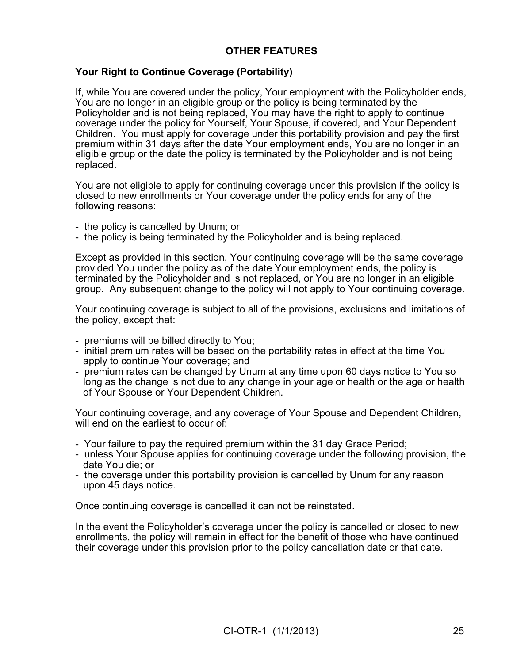# **OTHER FEATURES**

### **Your Right to Continue Coverage (Portability)**

If, while You are covered under the policy, Your employment with the Policyholder ends, You are no longer in an eligible group or the policy is being terminated by the Policyholder and is not being replaced, You may have the right to apply to continue coverage under the policy for Yourself, Your Spouse, if covered, and Your Dependent Children. You must apply for coverage under this portability provision and pay the first premium within 31 days after the date Your employment ends, You are no longer in an eligible group or the date the policy is terminated by the Policyholder and is not being replaced.

You are not eligible to apply for continuing coverage under this provision if the policy is closed to new enrollments or Your coverage under the policy ends for any of the following reasons:

- the policy is cancelled by Unum; or
- the policy is being terminated by the Policyholder and is being replaced.

Except as provided in this section, Your continuing coverage will be the same coverage provided You under the policy as of the date Your employment ends, the policy is terminated by the Policyholder and is not replaced, or You are no longer in an eligible group. Any subsequent change to the policy will not apply to Your continuing coverage.

Your continuing coverage is subject to all of the provisions, exclusions and limitations of the policy, except that:

- premiums will be billed directly to You;
- initial premium rates will be based on the portability rates in effect at the time You apply to continue Your coverage; and
- premium rates can be changed by Unum at any time upon 60 days notice to You so long as the change is not due to any change in your age or health or the age or health of Your Spouse or Your Dependent Children.

Your continuing coverage, and any coverage of Your Spouse and Dependent Children, will end on the earliest to occur of:

- Your failure to pay the required premium within the 31 day Grace Period;
- unless Your Spouse applies for continuing coverage under the following provision, the date You die; or
- the coverage under this portability provision is cancelled by Unum for any reason upon 45 days notice.

Once continuing coverage is cancelled it can not be reinstated.

In the event the Policyholder's coverage under the policy is cancelled or closed to new enrollments, the policy will remain in effect for the benefit of those who have continued their coverage under this provision prior to the policy cancellation date or that date.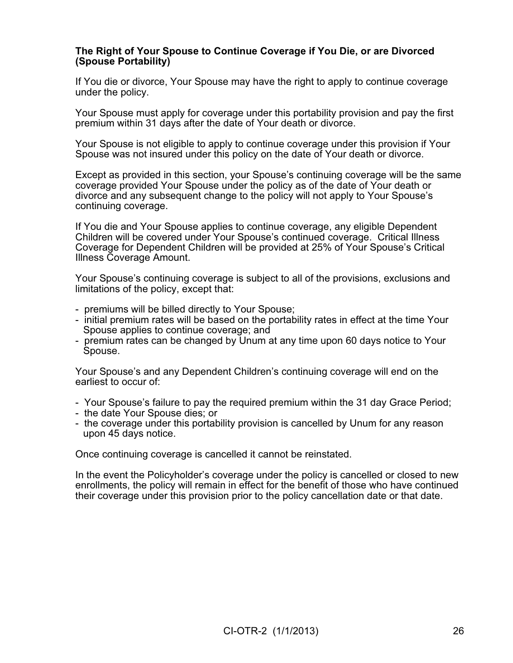### **The Right of Your Spouse to Continue Coverage if You Die, or are Divorced (Spouse Portability)**

If You die or divorce, Your Spouse may have the right to apply to continue coverage under the policy.

Your Spouse must apply for coverage under this portability provision and pay the first premium within 31 days after the date of Your death or divorce.

Your Spouse is not eligible to apply to continue coverage under this provision if Your Spouse was not insured under this policy on the date of Your death or divorce.

Except as provided in this section, your Spouse's continuing coverage will be the same coverage provided Your Spouse under the policy as of the date of Your death or divorce and any subsequent change to the policy will not apply to Your Spouse's continuing coverage.

If You die and Your Spouse applies to continue coverage, any eligible Dependent Children will be covered under Your Spouse's continued coverage. Critical Illness Coverage for Dependent Children will be provided at 25% of Your Spouse's Critical Illness Coverage Amount.

Your Spouse's continuing coverage is subject to all of the provisions, exclusions and limitations of the policy, except that:

- premiums will be billed directly to Your Spouse;
- initial premium rates will be based on the portability rates in effect at the time Your Spouse applies to continue coverage; and
- premium rates can be changed by Unum at any time upon 60 days notice to Your Spouse.

Your Spouse's and any Dependent Children's continuing coverage will end on the earliest to occur of:

- Your Spouse's failure to pay the required premium within the 31 day Grace Period;
- the date Your Spouse dies; or
- the coverage under this portability provision is cancelled by Unum for any reason upon 45 days notice.

Once continuing coverage is cancelled it cannot be reinstated.

In the event the Policyholder's coverage under the policy is cancelled or closed to new enrollments, the policy will remain in effect for the benefit of those who have continued their coverage under this provision prior to the policy cancellation date or that date.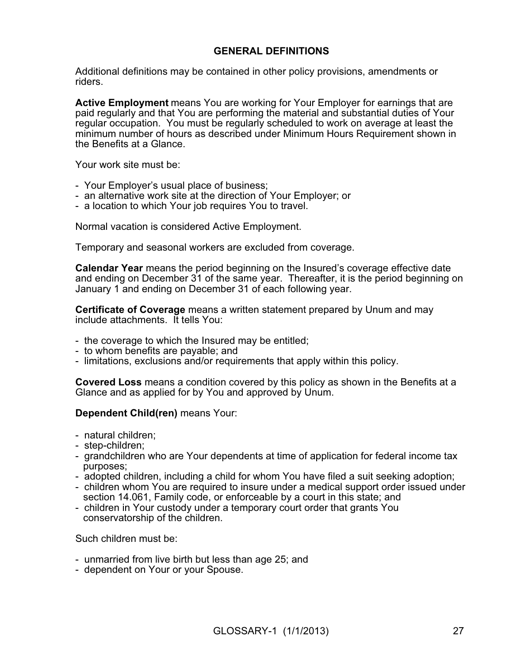## **GENERAL DEFINITIONS**

Additional definitions may be contained in other policy provisions, amendments or riders.

**Active Employment** means You are working for Your Employer for earnings that are paid regularly and that You are performing the material and substantial duties of Your regular occupation. You must be regularly scheduled to work on average at least the minimum number of hours as described under Minimum Hours Requirement shown in the Benefits at a Glance.

Your work site must be:

- Your Employer's usual place of business;
- an alternative work site at the direction of Your Employer; or
- a location to which Your job requires You to travel.

Normal vacation is considered Active Employment.

Temporary and seasonal workers are excluded from coverage.

**Calendar Year** means the period beginning on the Insured's coverage effective date and ending on December 31 of the same year. Thereafter, it is the period beginning on January 1 and ending on December 31 of each following year.

**Certificate of Coverage** means a written statement prepared by Unum and may include attachments. It tells You:

- the coverage to which the Insured may be entitled;
- to whom benefits are payable; and
- limitations, exclusions and/or requirements that apply within this policy.

**Covered Loss** means a condition covered by this policy as shown in the Benefits at a Glance and as applied for by You and approved by Unum.

#### **Dependent Child(ren)** means Your:

- natural children;
- step-children;
- grandchildren who are Your dependents at time of application for federal income tax purposes;
- adopted children, including a child for whom You have filed a suit seeking adoption;
- children whom You are required to insure under a medical support order issued under section 14.061, Family code, or enforceable by a court in this state; and
- children in Your custody under a temporary court order that grants You conservatorship of the children.

Such children must be:

- unmarried from live birth but less than age 25; and
- dependent on Your or your Spouse.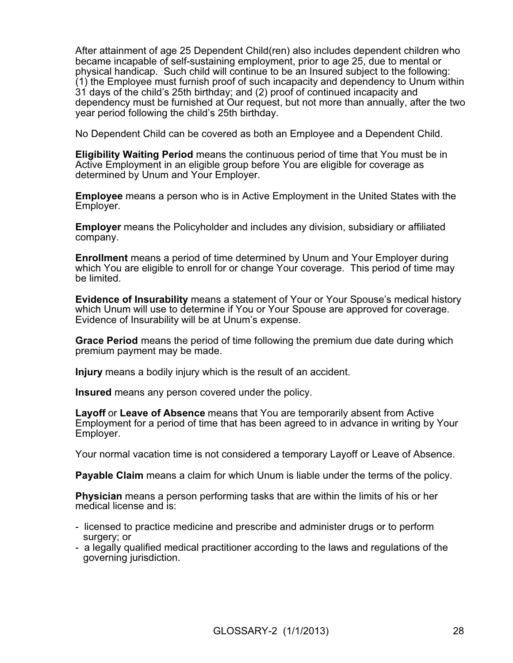After attainment of age 25 Dependent Child(ren) also includes dependent children who became incapable of self-sustaining employment, prior to age 25, due to mental or physical handicap. Such child will continue to be an Insured subject to the following: (1) the Employee must furnish proof of such incapacity and dependency to Unum within 31 days of the child's 25th birthday; and (2) proof of continued incapacity and dependency must be furnished at Our request, but not more than annually, after the two year period following the child's 25th birthday.

No Dependent Child can be covered as both an Employee and a Dependent Child.

**Eligibility Waiting Period** means the continuous period of time that You must be in Active Employment in an eligible group before You are eligible for coverage as determined by Unum and Your Employer.

**Employee** means a person who is in Active Employment in the United States with the Employer.

**Employer** means the Policyholder and includes any division, subsidiary or affiliated company.

**Enrollment** means a period of time determined by Unum and Your Employer during which You are eligible to enroll for or change Your coverage. This period of time may be limited.

**Evidence of Insurability** means a statement of Your or Your Spouse's medical history which Unum will use to determine if You or Your Spouse are approved for coverage. Evidence of Insurability will be at Unum's expense.

**Grace Period** means the period of time following the premium due date during which premium payment may be made.

**Injury** means a bodily injury which is the result of an accident.

**Insured** means any person covered under the policy.

**Layoff** or **Leave of Absence** means that You are temporarily absent from Active Employment for a period of time that has been agreed to in advance in writing by Your Employer.

Your normal vacation time is not considered a temporary Layoff or Leave of Absence.

**Payable Claim** means a claim for which Unum is liable under the terms of the policy.

**Physician** means a person performing tasks that are within the limits of his or her medical license and is:

- licensed to practice medicine and prescribe and administer drugs or to perform surgery; or
- a legally qualified medical practitioner according to the laws and regulations of the governing jurisdiction.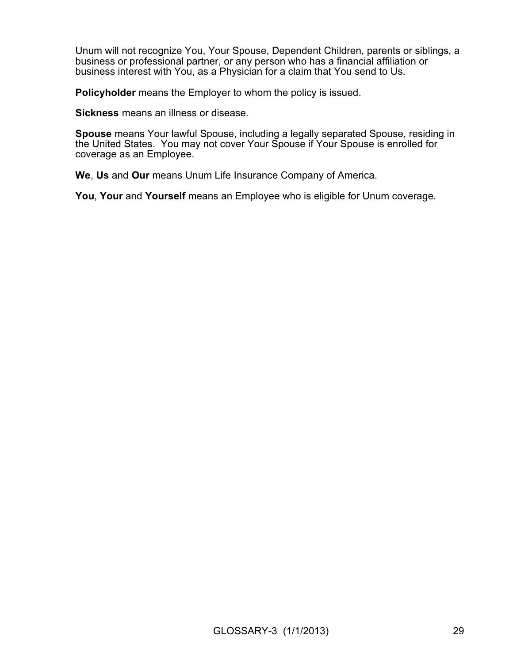Unum will not recognize You, Your Spouse, Dependent Children, parents or siblings, a business or professional partner, or any person who has a financial affiliation or business interest with You, as a Physician for a claim that You send to Us.

**Policyholder** means the Employer to whom the policy is issued.

**Sickness** means an illness or disease.

**Spouse** means Your lawful Spouse, including a legally separated Spouse, residing in the United States. You may not cover Your Spouse if Your Spouse is enrolled for coverage as an Employee.

**We**, **Us** and **Our** means Unum Life Insurance Company of America.

**You**, **Your** and **Yourself** means an Employee who is eligible for Unum coverage.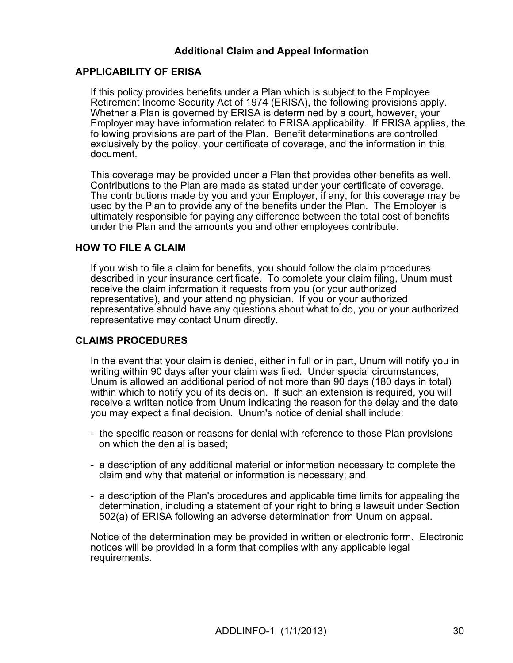## **Additional Claim and Appeal Information**

### **APPLICABILITY OF ERISA**

If this policy provides benefits under a Plan which is subject to the Employee Retirement Income Security Act of 1974 (ERISA), the following provisions apply. Whether a Plan is governed by ERISA is determined by a court, however, your Employer may have information related to ERISA applicability. If ERISA applies, the following provisions are part of the Plan. Benefit determinations are controlled exclusively by the policy, your certificate of coverage, and the information in this document.

This coverage may be provided under a Plan that provides other benefits as well. Contributions to the Plan are made as stated under your certificate of coverage. The contributions made by you and your Employer, if any, for this coverage may be used by the Plan to provide any of the benefits under the Plan. The Employer is ultimately responsible for paying any difference between the total cost of benefits under the Plan and the amounts you and other employees contribute.

## **HOW TO FILE A CLAIM**

If you wish to file a claim for benefits, you should follow the claim procedures described in your insurance certificate. To complete your claim filing, Unum must receive the claim information it requests from you (or your authorized representative), and your attending physician. If you or your authorized representative should have any questions about what to do, you or your authorized representative may contact Unum directly.

## **CLAIMS PROCEDURES**

In the event that your claim is denied, either in full or in part, Unum will notify you in writing within 90 days after your claim was filed. Under special circumstances, Unum is allowed an additional period of not more than 90 days (180 days in total) within which to notify you of its decision. If such an extension is required, you will receive a written notice from Unum indicating the reason for the delay and the date you may expect a final decision. Unum's notice of denial shall include:

- the specific reason or reasons for denial with reference to those Plan provisions on which the denial is based;
- a description of any additional material or information necessary to complete the claim and why that material or information is necessary; and
- a description of the Plan's procedures and applicable time limits for appealing the determination, including a statement of your right to bring a lawsuit under Section 502(a) of ERISA following an adverse determination from Unum on appeal.

Notice of the determination may be provided in written or electronic form. Electronic notices will be provided in a form that complies with any applicable legal requirements.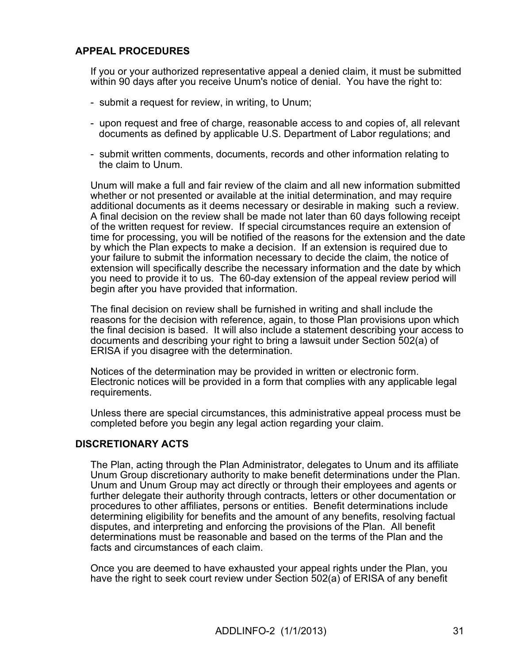# **APPEAL PROCEDURES**

If you or your authorized representative appeal a denied claim, it must be submitted within 90 days after you receive Unum's notice of denial. You have the right to:

- submit a request for review, in writing, to Unum;
- upon request and free of charge, reasonable access to and copies of, all relevant documents as defined by applicable U.S. Department of Labor regulations; and
- submit written comments, documents, records and other information relating to the claim to Unum.

Unum will make a full and fair review of the claim and all new information submitted whether or not presented or available at the initial determination, and may require additional documents as it deems necessary or desirable in making such a review. A final decision on the review shall be made not later than 60 days following receipt of the written request for review. If special circumstances require an extension of time for processing, you will be notified of the reasons for the extension and the date by which the Plan expects to make a decision. If an extension is required due to your failure to submit the information necessary to decide the claim, the notice of extension will specifically describe the necessary information and the date by which you need to provide it to us. The 60-day extension of the appeal review period will begin after you have provided that information.

The final decision on review shall be furnished in writing and shall include the reasons for the decision with reference, again, to those Plan provisions upon which the final decision is based. It will also include a statement describing your access to documents and describing your right to bring a lawsuit under Section 502(a) of ERISA if you disagree with the determination.

Notices of the determination may be provided in written or electronic form. Electronic notices will be provided in a form that complies with any applicable legal requirements.

Unless there are special circumstances, this administrative appeal process must be completed before you begin any legal action regarding your claim.

### **DISCRETIONARY ACTS**

The Plan, acting through the Plan Administrator, delegates to Unum and its affiliate Unum Group discretionary authority to make benefit determinations under the Plan. Unum and Unum Group may act directly or through their employees and agents or further delegate their authority through contracts, letters or other documentation or procedures to other affiliates, persons or entities. Benefit determinations include determining eligibility for benefits and the amount of any benefits, resolving factual disputes, and interpreting and enforcing the provisions of the Plan. All benefit determinations must be reasonable and based on the terms of the Plan and the facts and circumstances of each claim.

Once you are deemed to have exhausted your appeal rights under the Plan, you have the right to seek court review under Section 502(a) of ERISA of any benefit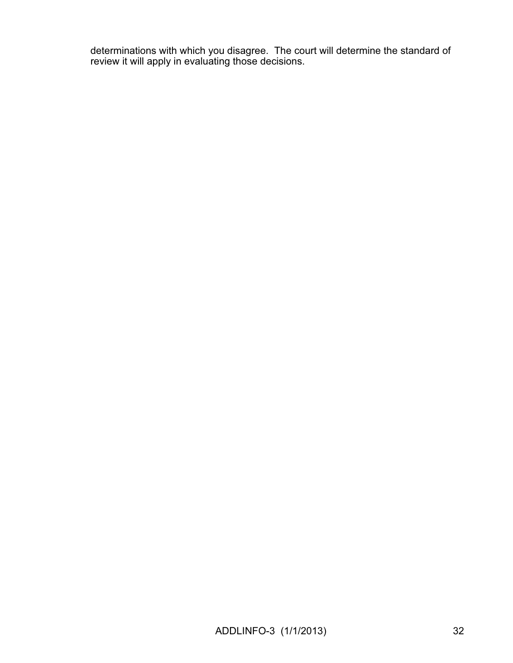determinations with which you disagree. The court will determine the standard of review it will apply in evaluating those decisions.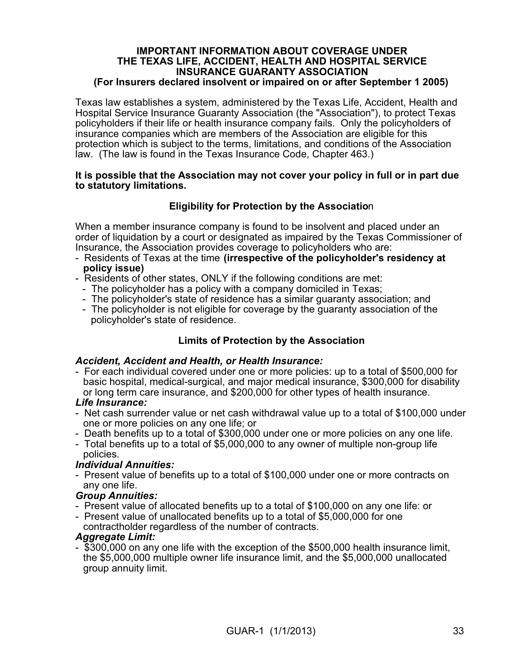#### **IMPORTANT INFORMATION ABOUT COVERAGE UNDER THE TEXAS LIFE, ACCIDENT, HEALTH AND HOSPITAL SERVICE INSURANCE GUARANTY ASSOCIATION (For Insurers declared insolvent or impaired on or after September 1 2005)**

Texas law establishes a system, administered by the Texas Life, Accident, Health and Hospital Service Insurance Guaranty Association (the "Association"), to protect Texas policyholders if their life or health insurance company fails. Only the policyholders of insurance companies which are members of the Association are eligible for this protection which is subject to the terms, limitations, and conditions of the Association law. (The law is found in the Texas Insurance Code, Chapter 463.)

#### **It is possible that the Association may not cover your policy in full or in part due to statutory limitations.**

# **Eligibility for Protection by the Associatio**n

When a member insurance company is found to be insolvent and placed under an order of liquidation by a court or designated as impaired by the Texas Commissioner of Insurance, the Association provides coverage to policyholders who are:

- Residents of Texas at the time **(irrespective of the policyholder's residency at policy issue)**
- Residents of other states, ONLY if the following conditions are met:
	- The policyholder has a policy with a company domiciled in Texas;
	- The policyholder's state of residence has a similar guaranty association; and
	- The policyholder is not eligible for coverage by the guaranty association of the policyholder's state of residence.

# **Limits of Protection by the Association**

## *Accident, Accident and Health, or Health Insurance:*

- For each individual covered under one or more policies: up to a total of \$500,000 for basic hospital, medical-surgical, and major medical insurance, \$300,000 for disability or long term care insurance, and \$200,000 for other types of health insurance.

## *Life Insurance:*

- Net cash surrender value or net cash withdrawal value up to a total of \$100,000 under one or more policies on any one life; or
- Death benefits up to a total of \$300,000 under one or more policies on any one life.
- Total benefits up to a total of \$5,000,000 to any owner of multiple non-group life policies.

## *Individual Annuities:*

- Present value of benefits up to a total of \$100,000 under one or more contracts on any one life.

## *Group Annuities:*

- Present value of allocated benefits up to a total of \$100,000 on any one life: or
- Present value of unallocated benefits up to a total of \$5,000,000 for one contractholder regardless of the number of contracts.

## *Aggregate Limit:*

- \$300,000 on any one life with the exception of the \$500,000 health insurance limit, the \$5,000,000 multiple owner life insurance limit, and the \$5,000,000 unallocated group annuity limit.